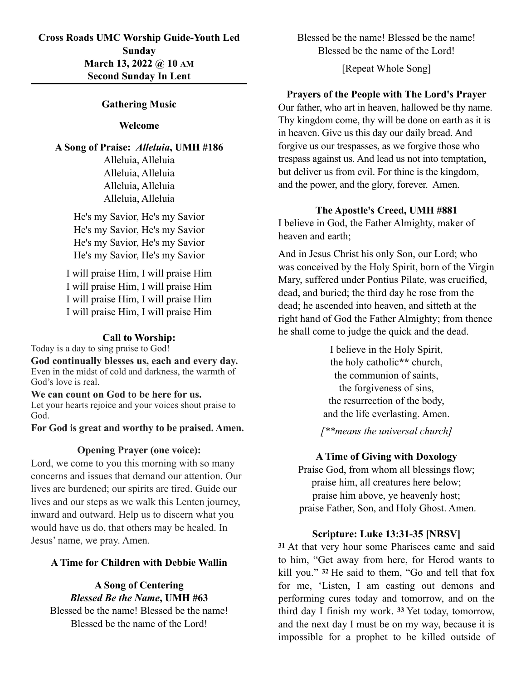# **Cross Roads UMC Worship Guide-Youth Led Sunday March 13, 2022 @ 10 AM Second Sunday In Lent**

### **Gathering Music**

#### **Welcome**

**A Song of Praise:** *Alleluia***, UMH #186**

Alleluia, Alleluia Alleluia, Alleluia Alleluia, Alleluia Alleluia, Alleluia

He's my Savior, He's my Savior He's my Savior, He's my Savior He's my Savior, He's my Savior He's my Savior, He's my Savior

I will praise Him, I will praise Him I will praise Him, I will praise Him I will praise Him, I will praise Him I will praise Him, I will praise Him

#### **Call to Worship:**

Today is a day to sing praise to God!

**God continually blesses us, each and every day.** Even in the midst of cold and darkness, the warmth of God's love is real.

**We can count on God to be here for us.** Let your hearts rejoice and your voices shout praise to God.

**For God is great and worthy to be praised. Amen.**

## **Opening Prayer (one voice):**

Lord, we come to you this morning with so many concerns and issues that demand our attention. Our lives are burdened; our spirits are tired. Guide our lives and our steps as we walk this Lenten journey, inward and outward. Help us to discern what you would have us do, that others may be healed. In Jesus' name, we pray. Amen.

### **A Time for Children with Debbie Wallin**

## **A Song of Centering** *Blessed Be the Name***, UMH #63**

Blessed be the name! Blessed be the name! Blessed be the name of the Lord!

Blessed be the name! Blessed be the name! Blessed be the name of the Lord!

[Repeat Whole Song]

# **Prayers of the People with The Lord's Prayer**

Our father, who art in heaven, hallowed be thy name. Thy kingdom come, thy will be done on earth as it is in heaven. Give us this day our daily bread. And forgive us our trespasses, as we forgive those who trespass against us. And lead us not into temptation, but deliver us from evil. For thine is the kingdom, and the power, and the glory, forever. Amen.

## **The Apostle's Creed, UMH #881**

I believe in God, the Father Almighty, maker of heaven and earth;

And in Jesus Christ his only Son, our Lord; who was conceived by the Holy Spirit, born of the Virgin Mary, suffered under Pontius Pilate, was crucified, dead, and buried; the third day he rose from the dead; he ascended into heaven, and sitteth at the right hand of God the Father Almighty; from thence he shall come to judge the quick and the dead.

> I believe in the Holy Spirit, the holy catholic**\*\*** church, the communion of saints, the forgiveness of sins, the resurrection of the body, and the life everlasting. Amen.

*[\*\*means the universal church]*

#### **A Time of Giving with Doxology**

Praise God, from whom all blessings flow; praise him, all creatures here below; praise him above, ye heavenly host; praise Father, Son, and Holy Ghost. Amen.

## **Scripture: Luke 13:31-35 [NRSV]**

**<sup>31</sup>**At that very hour some Pharisees came and said to him, "Get away from here, for Herod wants to kill you." **32** He said to them, "Go and tell that fox for me, 'Listen, I am casting out demons and performing cures today and tomorrow, and on the third day I finish my work. **33** Yet today, tomorrow, and the next day I must be on my way, because it is impossible for a prophet to be killed outside of